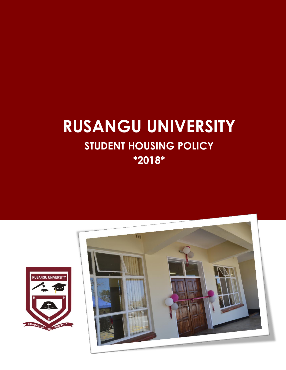# **RUSANGU UNIVERSITY STUDENT HOUSING POLICY \*2018\***



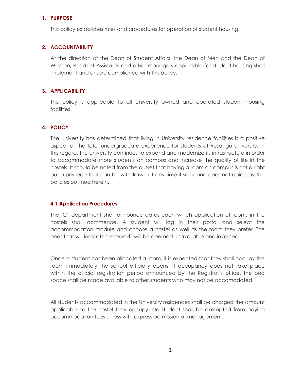#### **1. PURPOSE**

This policy establishes rules and procedures for operation of student housing.

#### **2. ACCOUNTABILITY**

At the direction of the Dean of Student Affairs, the Dean of Men and the Dean of Women, Resident Assistants and other managers responsible for student housing shall implement and ensure compliance with this policy.

#### **3. APPLICABILITY**

This policy is applicable to all University owned and operated student housing facilities.

## **4. POLICY**

The University has determined that living in University residence facilities is a positive aspect of the total undergraduate experience for students at Rusangu University. In this regard, the University continues to expand and modernize its infrastructure in order to accommodate more students on campus and increase the quality of life in the hostels. It should be noted from the outset that having a room on campus is not a right but a privilege that can be withdrawn at any time if someone does not abide by the policies outlined herein.

#### **4.1 Application Procedures**

The ICT department shall announce dates upon which application of rooms in the hostels shall commence. A student will log in their portal and select the accommodation module and choose a hostel as well as the room they prefer. The ones that will indicate "reserved" will be deemed unavailable and invoiced.

Once a student has been allocated a room, it is expected that they shall occupy the room immediately the school officially opens. If occupancy does not take place within the official registration period announced by the Registrar's office, the bed space shall be made available to other students who may not be accomodated.

All students accommodated in the University residences shall be charged the amount applicable to the hostel they occupy. No student shall be exempted from paying accommodation fees unless with express permission of management.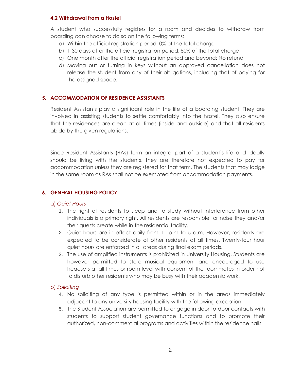#### **4.2 Withdrawal from a Hostel**

A student who successfully registers for a room and decides to withdraw from boarding can choose to do so on the following terms:

- a) Within the official registration period: 0% of the total charge
- b) 1-30 days after the official registration period: 50% of the total charge
- c) One month after the official registration period and beyond: No refund
- d) Moving out or turning in keys without an approved cancellation does not release the student from any of their obligations, including that of paying for the assigned space.

## **5. ACCOMMODATION OF RESIDENCE ASSISTANTS**

Resident Assistants play a significant role in the life of a boarding student. They are involved in assisting students to settle comfortably into the hostel. They also ensure that the residences are clean at all times (inside and outside) and that all residents abide by the given regulations.

Since Resident Assistants (RAs) form an integral part of a student's life and ideally should be living with the students, they are therefore not expected to pay for accommodation unless they are registered for that term. The students that may lodge in the same room as RAs shall not be exempted from accommodation payments.

#### **6. GENERAL HOUSING POLICY**

#### a) *Quiet Hours*

- 1. The right of residents to sleep and to study without interference from other individuals is a primary right. All residents are responsible for noise they and/or their guests create while in the residential facility.
- 2. Quiet hours are in effect daily from 11 p.m to 5 a.m. However, residents are expected to be considerate of other residents at all times. Twenty-four hour quiet hours are enforced in all areas during final exam periods.
- 3. The use of amplified instruments is prohibited in University Housing. Students are however permitted to store musical equipment and encouraged to use headsets at all times or room level with consent of the roommates in order not to disturb other residents who may be busy with their academic work.

#### b) *Soliciting*

- 4. No soliciting of any type is permitted within or in the areas immediately adjacent to any university housing facility with the following exception:
- 5. The Student Association are permitted to engage in door-to-door contacts with students to support student governance functions and to promote their authorized, non-commercial programs and activities within the residence halls.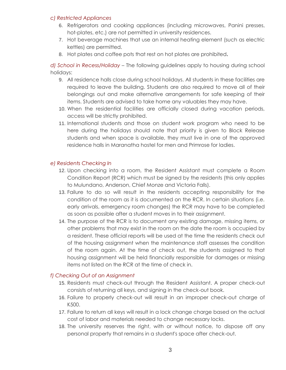#### *c) Restricted Appliances*

- 6. Refrigerators and cooking appliances (including microwaves, Panini presses, hot-plates, etc.) are not permitted in university residences.
- 7. Hot beverage machines that use an internal heating element (such as electric kettles) are permitted.
- 8. Hot plates and coffee pots that rest on hot plates are prohibited**.**

*d) School in Recess/Holiday* – The following guidelines apply to housing during school holidays:

- 9. All residence halls close during school holidays. All students in these facilities are required to leave the building. Students are also required to move all of their belongings out and make alternative arrangements for safe keeping of their items. Students are advised to take home any valuables they may have.
- 10. When the residential facilities are officially closed during vacation periods, access will be strictly prohibited.
- 11. International students and those on student work program who need to be here during the holidays should note that priority is given to Block Release students and when space is available, they must live in one of the approved residence halls in Maranatha hostel for men and Primrose for ladies.

#### *e) Residents Checking In*

- 12. Upon checking into a room, the Resident Assistant must complete a Room Condition Report (RCR) which must be signed by the residents (this only applies to Mulundano, Anderson, Chief Monze and Victoria Falls).
- 13. Failure to do so will result in the residents accepting responsibility for the condition of the room as it is documented on the RCR. In certain situations (i.e. early arrivals, emergency room changes) the RCR may have to be completed as soon as possible after a student moves in to their assignment.
- 14. The purpose of the RCR is to document any existing damage, missing items, or other problems that may exist in the room on the date the room is occupied by a resident. These official reports will be used at the time the residents check out of the housing assignment when the maintenance staff assesses the condition of the room again. At the time of check out, the students assigned to that housing assignment will be held financially responsible for damages or missing items not listed on the RCR at the time of check in.

#### *f) Checking Out of an Assignment*

- 15. Residents must check-out through the Resident Assistant. A proper check-out consists of returning all keys, and signing in the check-out book.
- 16. Failure to properly check-out will result in an improper check-out charge of K500.
- 17. Failure to return all keys will result in a lock change charge based on the actual cost of labor and materials needed to change necessary locks.
- 18. The university reserves the right, with or without notice, to dispose off any personal property that remains in a student's space after check-out.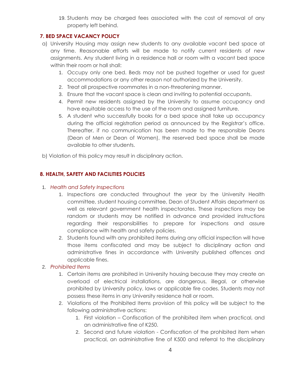19. Students may be charged fees associated with the cost of removal of any property left behind.

# **7. BED SPACE VACANCY POLICY**

- a) University Housing may assign new students to any available vacant bed space at any time. Reasonable efforts will be made to notify current residents of new assignments. Any student living in a residence hall or room with a vacant bed space within their room or hall shall:
	- 1. Occupy only one bed. Beds may not be pushed together or used for guest accommodations or any other reason not authorized by the University.
	- 2. Treat all prospective roommates in a non-threatening manner.
	- 3. Ensure that the vacant space is clean and inviting to potential occupants.
	- 4. Permit new residents assigned by the University to assume occupancy and have equitable access to the use of the room and assigned furniture.
	- 5. A student who successfully books for a bed space shall take up occupancy during the official registration period as announced by the Registrar's office. Thereafter, if no communication has been made to the responsible Deans (Dean of Men or Dean of Women), the reserved bed space shall be made available to other students.

b) Violation of this policy may result in disciplinary action.

# **8. HEALTH, SAFETY AND FACILITIES POLICIES**

# 1. *Health and Safety Inspections*

- 1. Inspections are conducted throughout the year by the University Health committee, student housing committee, Dean of Student Affairs department as well as relevant government health inspectorates. These inspections may be random or students may be notified in advance and provided instructions regarding their responsibilities to prepare for inspections and assure compliance with health and safety policies.
- 2. Students found with any prohibited items during any official inspection will have those items confiscated and may be subject to disciplinary action and administrative fines in accordance with University published offences and applicable fines.

# 2. *Prohibited Items*

- 1. Certain items are prohibited in University housing because they may create an overload of electrical installations, are dangerous, illegal, or otherwise prohibited by University policy, laws or applicable fire codes. Students may not possess these items in any University residence hall or room.
- 2. Violations of the Prohibited Items provision of this policy will be subject to the following administrative actions:
	- 1. First violation Confiscation of the prohibited item when practical, and an administrative fine of K250.
	- 2. Second and future violation Confiscation of the prohibited item when practical, an administrative fine of K500 and referral to the disciplinary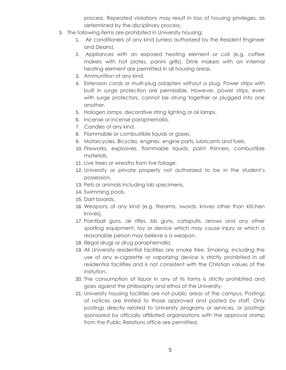process. Repeated violations may result in loss of housing privileges, as determined by the disciplinary process.

- 3. The following items are prohibited in University housing:
	- 1. Air conditioners of any kind (unless authorized by the Resident Engineer and Deans).
	- 2. Appliances with an exposed heating element or coil (e.g. coffee makers with hot plates, panini grills). Drink makers with an internal heating element are permitted in all housing areas.
	- 3. Ammunition of any kind.
	- 4. Extension cords or multi-plug adapters without a plug. Power strips with built in surge protection are permissible. However, power strips, even with surge protectors, cannot be strung together or plugged into one another.
	- 5. Halogen lamps, decorative string lighting or oil lamps.
	- 6. Incense or incense paraphernalia.
	- 7. Candles of any kind.
	- 8. Flammable or combustible liquids or gases.
	- 9. Motorcycles, Bicycles, engines, engine parts, lubricants and fuels.
	- 10. Fireworks, explosives, flammable liquids, paint thinners, combustible materials.
	- 11. Live trees or wreaths from live foliage.
	- 12. University or private property not authorized to be in the student's possession.
	- 13. Pets or animals including lab specimens.
	- 14. Swimming pools.
	- 15. Dart boards.
	- 16. Weapons of any kind (e.g. firearms, swords, knives other than kitchen knives).
	- 17. Paintball guns, air rifles, bb guns, catapults, arrows and any other sporting equipment, toy or device which may cause injury or which a reasonable person may believe is a weapon.
	- 18. Illegal drugs or drug paraphernalia.
	- 19. All University residential facilities are smoke free. Smoking, including the use of any e-cigarette or vaporizing device is strictly prohibited in all residential facilities and is not consistent with the Christian values of the insitution.
	- 20. The consumption of liquor in any of its forms is strictly prohibited and goes against the philosophy and ethos of the University.
	- 21. University housing facilities are not public areas of the campus. Postings of notices are limited to those approved and posted by staff. Only postings directly related to University programs or services, or postings sponsored by officially affiliated organizations with the approval stamp from the Public Relations office are permitted.